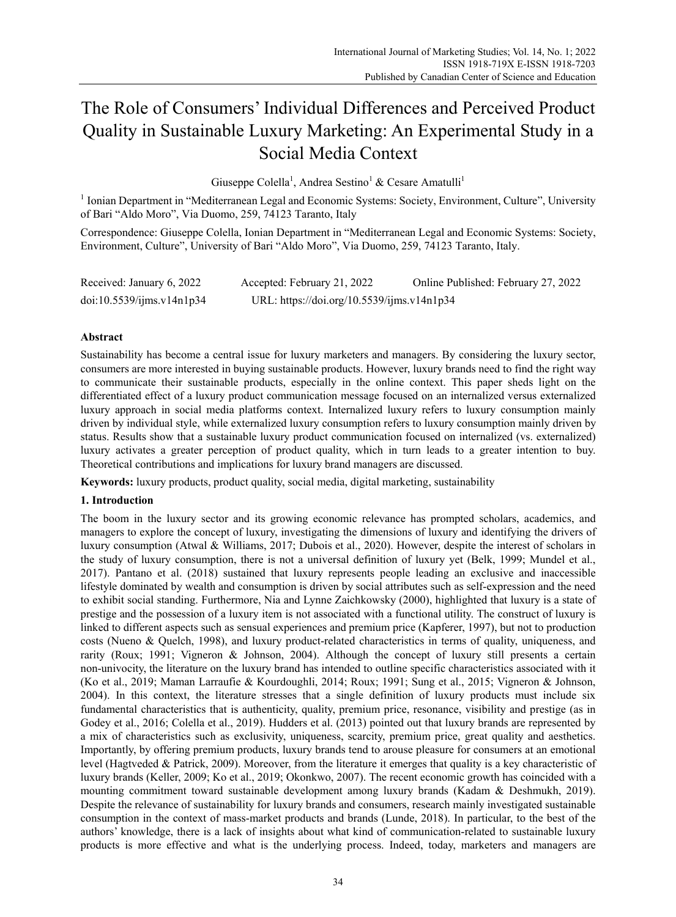# The Role of Consumers' Individual Differences and Perceived Product Quality in Sustainable Luxury Marketing: An Experimental Study in a Social Media Context

Giuseppe Colella<sup>1</sup>, Andrea Sestino<sup>1</sup> & Cesare Amatulli<sup>1</sup>

<sup>1</sup> Ionian Department in "Mediterranean Legal and Economic Systems: Society, Environment, Culture", University of Bari "Aldo Moro", Via Duomo, 259, 74123 Taranto, Italy

Correspondence: Giuseppe Colella, Ionian Department in "Mediterranean Legal and Economic Systems: Society, Environment, Culture", University of Bari "Aldo Moro", Via Duomo, 259, 74123 Taranto, Italy.

| Received: January 6, 2022 | Accepted: February 21, 2022                | Online Published: February 27, 2022 |
|---------------------------|--------------------------------------------|-------------------------------------|
| doi:10.5539/ijms.v14n1p34 | URL: https://doi.org/10.5539/ijms.v14n1p34 |                                     |

# **Abstract**

Sustainability has become a central issue for luxury marketers and managers. By considering the luxury sector, consumers are more interested in buying sustainable products. However, luxury brands need to find the right way to communicate their sustainable products, especially in the online context. This paper sheds light on the differentiated effect of a luxury product communication message focused on an internalized versus externalized luxury approach in social media platforms context. Internalized luxury refers to luxury consumption mainly driven by individual style, while externalized luxury consumption refers to luxury consumption mainly driven by status. Results show that a sustainable luxury product communication focused on internalized (vs. externalized) luxury activates a greater perception of product quality, which in turn leads to a greater intention to buy. Theoretical contributions and implications for luxury brand managers are discussed.

**Keywords:** luxury products, product quality, social media, digital marketing, sustainability

# **1. Introduction**

The boom in the luxury sector and its growing economic relevance has prompted scholars, academics, and managers to explore the concept of luxury, investigating the dimensions of luxury and identifying the drivers of luxury consumption (Atwal & Williams, 2017; Dubois et al., 2020). However, despite the interest of scholars in the study of luxury consumption, there is not a universal definition of luxury yet (Belk, 1999; Mundel et al., 2017). Pantano et al. (2018) sustained that luxury represents people leading an exclusive and inaccessible lifestyle dominated by wealth and consumption is driven by social attributes such as self-expression and the need to exhibit social standing. Furthermore, Nia and Lynne Zaichkowsky (2000), highlighted that luxury is a state of prestige and the possession of a luxury item is not associated with a functional utility. The construct of luxury is linked to different aspects such as sensual experiences and premium price (Kapferer, 1997), but not to production costs (Nueno & Quelch, 1998), and luxury product-related characteristics in terms of quality, uniqueness, and rarity (Roux; 1991; Vigneron & Johnson, 2004). Although the concept of luxury still presents a certain non-univocity, the literature on the luxury brand has intended to outline specific characteristics associated with it (Ko et al., 2019; Maman Larraufie & Kourdoughli, 2014; Roux; 1991; Sung et al., 2015; Vigneron & Johnson, 2004). In this context, the literature stresses that a single definition of luxury products must include six fundamental characteristics that is authenticity, quality, premium price, resonance, visibility and prestige (as in Godey et al., 2016; Colella et al., 2019). Hudders et al. (2013) pointed out that luxury brands are represented by a mix of characteristics such as exclusivity, uniqueness, scarcity, premium price, great quality and aesthetics. Importantly, by offering premium products, luxury brands tend to arouse pleasure for consumers at an emotional level (Hagtveded & Patrick, 2009). Moreover, from the literature it emerges that quality is a key characteristic of luxury brands (Keller, 2009; Ko et al., 2019; Okonkwo, 2007). The recent economic growth has coincided with a mounting commitment toward sustainable development among luxury brands (Kadam & Deshmukh, 2019). Despite the relevance of sustainability for luxury brands and consumers, research mainly investigated sustainable consumption in the context of mass-market products and brands (Lunde, 2018). In particular, to the best of the authors' knowledge, there is a lack of insights about what kind of communication-related to sustainable luxury products is more effective and what is the underlying process. Indeed, today, marketers and managers are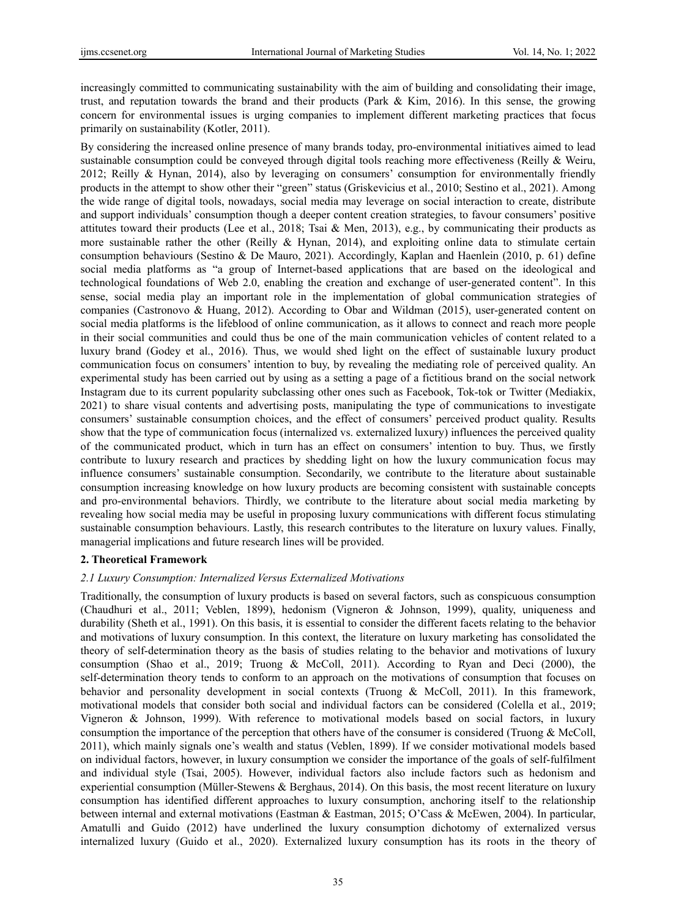increasingly committed to communicating sustainability with the aim of building and consolidating their image, trust, and reputation towards the brand and their products (Park & Kim, 2016). In this sense, the growing concern for environmental issues is urging companies to implement different marketing practices that focus primarily on sustainability (Kotler, 2011).

By considering the increased online presence of many brands today, pro-environmental initiatives aimed to lead sustainable consumption could be conveyed through digital tools reaching more effectiveness (Reilly & Weiru, 2012; Reilly & Hynan, 2014), also by leveraging on consumers' consumption for environmentally friendly products in the attempt to show other their "green" status (Griskevicius et al., 2010; Sestino et al., 2021). Among the wide range of digital tools, nowadays, social media may leverage on social interaction to create, distribute and support individuals' consumption though a deeper content creation strategies, to favour consumers' positive attitutes toward their products (Lee et al., 2018; Tsai & Men, 2013), e.g., by communicating their products as more sustainable rather the other (Reilly  $\&$  Hynan, 2014), and exploiting online data to stimulate certain consumption behaviours (Sestino & De Mauro, 2021). Accordingly, Kaplan and Haenlein (2010, p. 61) define social media platforms as "a group of Internet-based applications that are based on the ideological and technological foundations of Web 2.0, enabling the creation and exchange of user-generated content". In this sense, social media play an important role in the implementation of global communication strategies of companies (Castronovo & Huang, 2012). According to Obar and Wildman (2015), user-generated content on social media platforms is the lifeblood of online communication, as it allows to connect and reach more people in their social communities and could thus be one of the main communication vehicles of content related to a luxury brand (Godey et al., 2016). Thus, we would shed light on the effect of sustainable luxury product communication focus on consumers' intention to buy, by revealing the mediating role of perceived quality. An experimental study has been carried out by using as a setting a page of a fictitious brand on the social network Instagram due to its current popularity subclassing other ones such as Facebook, Tok-tok or Twitter (Mediakix, 2021) to share visual contents and advertising posts, manipulating the type of communications to investigate consumers' sustainable consumption choices, and the effect of consumers' perceived product quality. Results show that the type of communication focus (internalized vs. externalized luxury) influences the perceived quality of the communicated product, which in turn has an effect on consumers' intention to buy. Thus, we firstly contribute to luxury research and practices by shedding light on how the luxury communication focus may influence consumers' sustainable consumption. Secondarily, we contribute to the literature about sustainable consumption increasing knowledge on how luxury products are becoming consistent with sustainable concepts and pro-environmental behaviors. Thirdly, we contribute to the literature about social media marketing by revealing how social media may be useful in proposing luxury communications with different focus stimulating sustainable consumption behaviours. Lastly, this research contributes to the literature on luxury values. Finally, managerial implications and future research lines will be provided.

## **2. Theoretical Framework**

# *2.1 Luxury Consumption: Internalized Versus Externalized Motivations*

Traditionally, the consumption of luxury products is based on several factors, such as conspicuous consumption (Chaudhuri et al., 2011; Veblen, 1899), hedonism (Vigneron & Johnson, 1999), quality, uniqueness and durability (Sheth et al., 1991). On this basis, it is essential to consider the different facets relating to the behavior and motivations of luxury consumption. In this context, the literature on luxury marketing has consolidated the theory of self-determination theory as the basis of studies relating to the behavior and motivations of luxury consumption (Shao et al., 2019; Truong & McColl, 2011). According to Ryan and Deci (2000), the self-determination theory tends to conform to an approach on the motivations of consumption that focuses on behavior and personality development in social contexts (Truong & McColl, 2011). In this framework, motivational models that consider both social and individual factors can be considered (Colella et al., 2019; Vigneron & Johnson, 1999). With reference to motivational models based on social factors, in luxury consumption the importance of the perception that others have of the consumer is considered (Truong & McColl, 2011), which mainly signals one's wealth and status (Veblen, 1899). If we consider motivational models based on individual factors, however, in luxury consumption we consider the importance of the goals of self-fulfilment and individual style (Tsai, 2005). However, individual factors also include factors such as hedonism and experiential consumption (Müller-Stewens & Berghaus, 2014). On this basis, the most recent literature on luxury consumption has identified different approaches to luxury consumption, anchoring itself to the relationship between internal and external motivations (Eastman & Eastman, 2015; O'Cass & McEwen, 2004). In particular, Amatulli and Guido (2012) have underlined the luxury consumption dichotomy of externalized versus internalized luxury (Guido et al., 2020). Externalized luxury consumption has its roots in the theory of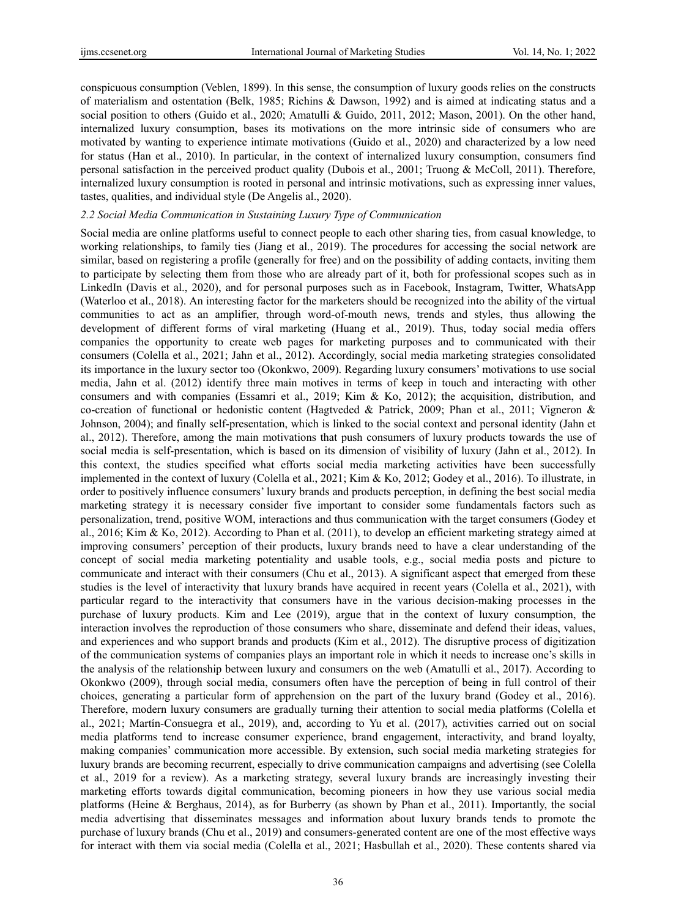conspicuous consumption (Veblen, 1899). In this sense, the consumption of luxury goods relies on the constructs of materialism and ostentation (Belk, 1985; Richins & Dawson, 1992) and is aimed at indicating status and a social position to others (Guido et al., 2020; Amatulli & Guido, 2011, 2012; Mason, 2001). On the other hand, internalized luxury consumption, bases its motivations on the more intrinsic side of consumers who are motivated by wanting to experience intimate motivations (Guido et al., 2020) and characterized by a low need for status (Han et al., 2010). In particular, in the context of internalized luxury consumption, consumers find personal satisfaction in the perceived product quality (Dubois et al., 2001; Truong & McColl, 2011). Therefore, internalized luxury consumption is rooted in personal and intrinsic motivations, such as expressing inner values, tastes, qualities, and individual style (De Angelis al., 2020).

## *2.2 Social Media Communication in Sustaining Luxury Type of Communication*

Social media are online platforms useful to connect people to each other sharing ties, from casual knowledge, to working relationships, to family ties (Jiang et al., 2019). The procedures for accessing the social network are similar, based on registering a profile (generally for free) and on the possibility of adding contacts, inviting them to participate by selecting them from those who are already part of it, both for professional scopes such as in LinkedIn (Davis et al., 2020), and for personal purposes such as in Facebook, Instagram, Twitter, WhatsApp (Waterloo et al., 2018). An interesting factor for the marketers should be recognized into the ability of the virtual communities to act as an amplifier, through word-of-mouth news, trends and styles, thus allowing the development of different forms of viral marketing (Huang et al., 2019). Thus, today social media offers companies the opportunity to create web pages for marketing purposes and to communicated with their consumers (Colella et al., 2021; Jahn et al., 2012). Accordingly, social media marketing strategies consolidated its importance in the luxury sector too (Okonkwo, 2009). Regarding luxury consumers' motivations to use social media, Jahn et al. (2012) identify three main motives in terms of keep in touch and interacting with other consumers and with companies (Essamri et al., 2019; Kim & Ko, 2012); the acquisition, distribution, and co-creation of functional or hedonistic content (Hagtveded & Patrick, 2009; Phan et al., 2011; Vigneron & Johnson, 2004); and finally self-presentation, which is linked to the social context and personal identity (Jahn et al., 2012). Therefore, among the main motivations that push consumers of luxury products towards the use of social media is self-presentation, which is based on its dimension of visibility of luxury (Jahn et al., 2012). In this context, the studies specified what efforts social media marketing activities have been successfully implemented in the context of luxury (Colella et al., 2021; Kim & Ko, 2012; Godey et al., 2016). To illustrate, in order to positively influence consumers' luxury brands and products perception, in defining the best social media marketing strategy it is necessary consider five important to consider some fundamentals factors such as personalization, trend, positive WOM, interactions and thus communication with the target consumers (Godey et al., 2016; Kim & Ko, 2012). According to Phan et al. (2011), to develop an efficient marketing strategy aimed at improving consumers' perception of their products, luxury brands need to have a clear understanding of the concept of social media marketing potentiality and usable tools, e.g., social media posts and picture to communicate and interact with their consumers (Chu et al., 2013). A significant aspect that emerged from these studies is the level of interactivity that luxury brands have acquired in recent years (Colella et al., 2021), with particular regard to the interactivity that consumers have in the various decision-making processes in the purchase of luxury products. Kim and Lee (2019), argue that in the context of luxury consumption, the interaction involves the reproduction of those consumers who share, disseminate and defend their ideas, values, and experiences and who support brands and products (Kim et al., 2012). The disruptive process of digitization of the communication systems of companies plays an important role in which it needs to increase one's skills in the analysis of the relationship between luxury and consumers on the web (Amatulli et al., 2017). According to Okonkwo (2009), through social media, consumers often have the perception of being in full control of their choices, generating a particular form of apprehension on the part of the luxury brand (Godey et al., 2016). Therefore, modern luxury consumers are gradually turning their attention to social media platforms (Colella et al., 2021; Martín-Consuegra et al., 2019), and, according to Yu et al. (2017), activities carried out on social media platforms tend to increase consumer experience, brand engagement, interactivity, and brand loyalty, making companies' communication more accessible. By extension, such social media marketing strategies for luxury brands are becoming recurrent, especially to drive communication campaigns and advertising (see Colella et al., 2019 for a review). As a marketing strategy, several luxury brands are increasingly investing their marketing efforts towards digital communication, becoming pioneers in how they use various social media platforms (Heine & Berghaus, 2014), as for Burberry (as shown by Phan et al., 2011). Importantly, the social media advertising that disseminates messages and information about luxury brands tends to promote the purchase of luxury brands (Chu et al., 2019) and consumers-generated content are one of the most effective ways for interact with them via social media (Colella et al., 2021; Hasbullah et al., 2020). These contents shared via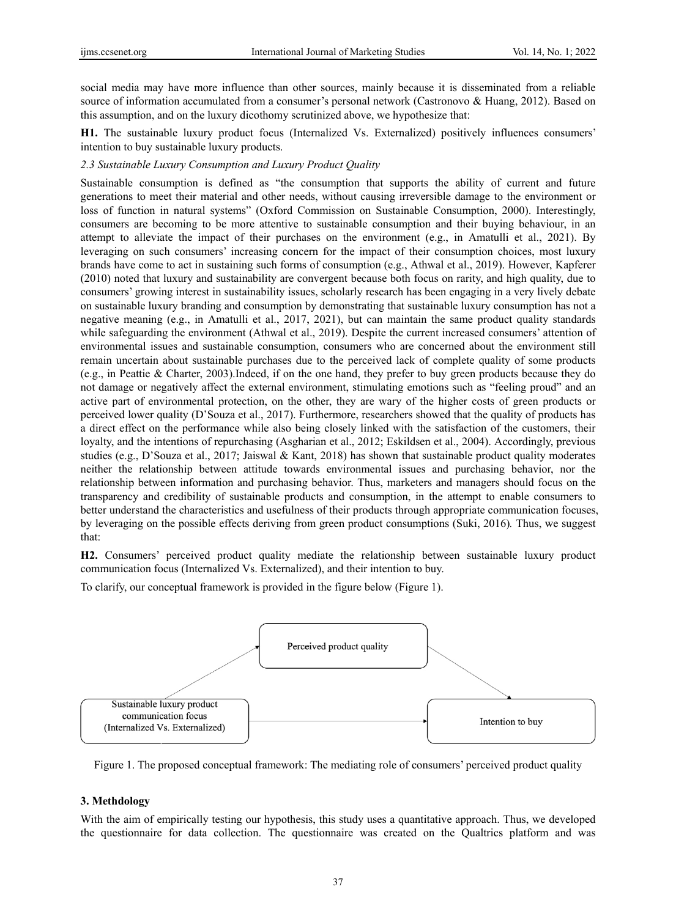social media may have more influence than other sources, mainly because it is disseminated from a reliable source of information accumulated from a consumer's personal network (Castronovo & Huang, 2012). Based on this assumption, and on the luxury dicothomy scrutinized above, we hypothesize that:

**H1.** The sustainable luxury product focus (Internalized Vs. Externalized) positively influences consumers' intention to buy sustainable luxury products.

# *2.3 Sustainable Luxury Consumption and Luxury Product Quality*

Sustainable consumption is defined as "the consumption that supports the ability of current and future generations to meet their material and other needs, without causing irreversible damage to the environment or loss of function in natural systems" (Oxford Commission on Sustainable Consumption, 2000). Interestingly, consumers are becoming to be more attentive to sustainable consumption and their buying behaviour, in an attempt to alleviate the impact of their purchases on the environment (e.g., in Amatulli et al., 2021). By leveraging on such consumers' increasing concern for the impact of their consumption choices, most luxury brands have come to act in sustaining such forms of consumption (e.g., Athwal et al., 2019). However, Kapferer (2010) noted that luxury and sustainability are convergent because both focus on rarity, and high quality, due to consumers' growing interest in sustainability issues, scholarly research has been engaging in a very lively debate on sustainable luxury branding and consumption by demonstrating that sustainable luxury consumption has not a negative meaning (e.g., in Amatulli et al., 2017, 2021), but can maintain the same product quality standards while safeguarding the environment (Athwal et al., 2019). Despite the current increased consumers' attention of environmental issues and sustainable consumption, consumers who are concerned about the environment still remain uncertain about sustainable purchases due to the perceived lack of complete quality of some products (e.g., in Peattie & Charter, 2003).Indeed, if on the one hand, they prefer to buy green products because they do not damage or negatively affect the external environment, stimulating emotions such as "feeling proud" and an active part of environmental protection, on the other, they are wary of the higher costs of green products or perceived lower quality (D'Souza et al., 2017). Furthermore, researchers showed that the quality of products has a direct effect on the performance while also being closely linked with the satisfaction of the customers, their loyalty, and the intentions of repurchasing (Asgharian et al., 2012; Eskildsen et al., 2004). Accordingly, previous studies (e.g., D'Souza et al., 2017; Jaiswal & Kant, 2018) has shown that sustainable product quality moderates neither the relationship between attitude towards environmental issues and purchasing behavior, nor the relationship between information and purchasing behavior. Thus, marketers and managers should focus on the transparency and credibility of sustainable products and consumption, in the attempt to enable consumers to better understand the characteristics and usefulness of their products through appropriate communication focuses, by leveraging on the possible effects deriving from green product consumptions (Suki, 2016)*.* Thus, we suggest that:

**H2.** Consumers' perceived product quality mediate the relationship between sustainable luxury product communication focus (Internalized Vs. Externalized), and their intention to buy.

To clarify, our conceptual framework is provided in the figure below (Figure 1).



Figure 1. The proposed conceptual framework: The mediating role of consumers' perceived product quality

# **3. Methdology**

With the aim of empirically testing our hypothesis, this study uses a quantitative approach. Thus, we developed the questionnaire for data collection. The questionnaire was created on the Qualtrics platform and was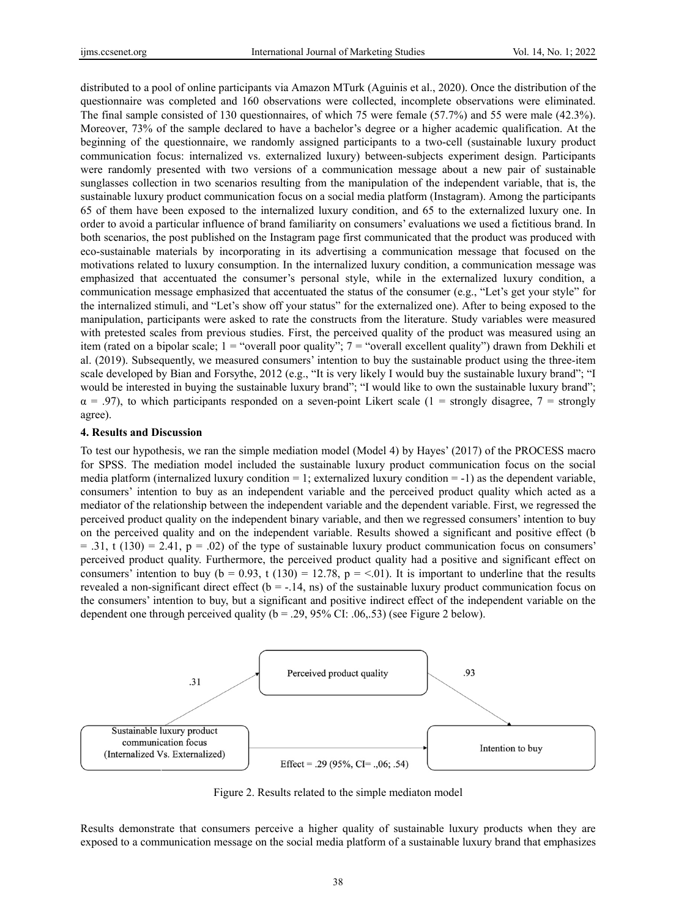distributed to a pool of online participants via Amazon MTurk (Aguinis et al., 2020). Once the distribution of the questionnaire was completed and 160 observations were collected, incomplete observations were eliminated. The final sample consisted of 130 questionnaires, of which 75 were female (57.7%) and 55 were male (42.3%). Moreover, 73% of the sample declared to have a bachelor's degree or a higher academic qualification. At the beginning of the questionnaire, we randomly assigned participants to a two-cell (sustainable luxury product communication focus: internalized vs. externalized luxury) between-subjects experiment design. Participants were randomly presented with two versions of a communication message about a new pair of sustainable sunglasses collection in two scenarios resulting from the manipulation of the independent variable, that is, the sustainable luxury product communication focus on a social media platform (Instagram). Among the participants 65 of them have been exposed to the internalized luxury condition, and 65 to the externalized luxury one. In order to avoid a particular influence of brand familiarity on consumers' evaluations we used a fictitious brand. In both scenarios, the post published on the Instagram page first communicated that the product was produced with eco-sustainable materials by incorporating in its advertising a communication message that focused on the motivations related to luxury consumption. In the internalized luxury condition, a communication message was emphasized that accentuated the consumer's personal style, while in the externalized luxury condition, a communication message emphasized that accentuated the status of the consumer (e.g., "Let's get your style" for the internalized stimuli, and "Let's show off your status" for the externalized one). After to being exposed to the manipulation, participants were asked to rate the constructs from the literature. Study variables were measured with pretested scales from previous studies. First, the perceived quality of the product was measured using an item (rated on a bipolar scale; 1 = "overall poor quality"; 7 = "overall excellent quality") drawn from Dekhili et al. (2019). Subsequently, we measured consumers' intention to buy the sustainable product using the three-item scale developed by Bian and Forsythe, 2012 (e.g., "It is very likely I would buy the sustainable luxury brand"; "I would be interested in buying the sustainable luxury brand"; "I would like to own the sustainable luxury brand";  $\alpha$  = .97), to which participants responded on a seven-point Likert scale (1 = strongly disagree, 7 = strongly agree).

#### **4. Results and Discussion**

To test our hypothesis, we ran the simple mediation model (Model 4) by Hayes' (2017) of the PROCESS macro for SPSS. The mediation model included the sustainable luxury product communication focus on the social media platform (internalized luxury condition  $= 1$ ; externalized luxury condition  $= -1$ ) as the dependent variable, consumers' intention to buy as an independent variable and the perceived product quality which acted as a mediator of the relationship between the independent variable and the dependent variable. First, we regressed the perceived product quality on the independent binary variable, and then we regressed consumers' intention to buy on the perceived quality and on the independent variable. Results showed a significant and positive effect (b  $=$  .31, t (130) = 2.41, p = .02) of the type of sustainable luxury product communication focus on consumers' perceived product quality. Furthermore, the perceived product quality had a positive and significant effect on consumers' intention to buy ( $b = 0.93$ , t (130) = 12.78,  $p = 0.01$ ). It is important to underline that the results revealed a non-significant direct effect ( $b = -14$ , ns) of the sustainable luxury product communication focus on the consumers' intention to buy, but a significant and positive indirect effect of the independent variable on the dependent one through perceived quality (b = .29, 95% CI: .06,.53) (see Figure 2 below).



Figure 2. Results related to the simple mediaton model

Results demonstrate that consumers perceive a higher quality of sustainable luxury products when they are exposed to a communication message on the social media platform of a sustainable luxury brand that emphasizes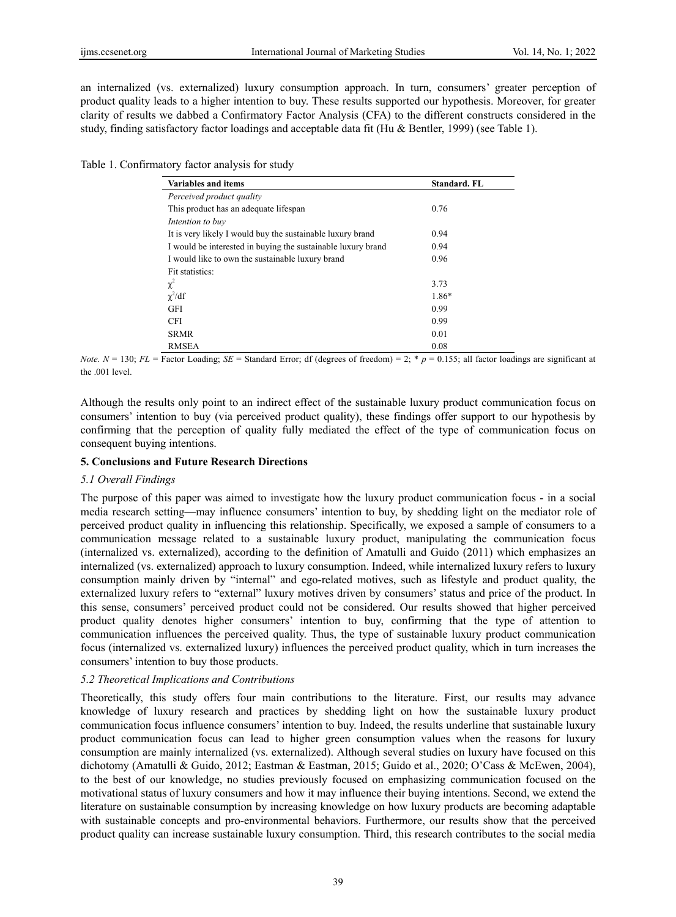an internalized (vs. externalized) luxury consumption approach. In turn, consumers' greater perception of product quality leads to a higher intention to buy. These results supported our hypothesis. Moreover, for greater clarity of results we dabbed a Confirmatory Factor Analysis (CFA) to the different constructs considered in the study, finding satisfactory factor loadings and acceptable data fit (Hu & Bentler, 1999) (see Table 1).

Table 1. Confirmatory factor analysis for study

| <b>Variables and items</b>                                   | <b>Standard</b> , FL |
|--------------------------------------------------------------|----------------------|
| Perceived product quality                                    |                      |
| This product has an adequate lifespan                        | 0.76                 |
| Intention to buy                                             |                      |
| It is very likely I would buy the sustainable luxury brand   | 0.94                 |
| I would be interested in buying the sustainable luxury brand | 0.94                 |
| I would like to own the sustainable luxury brand             | 0.96                 |
| Fit statistics:                                              |                      |
| $\chi^2$                                                     | 3.73                 |
| $\chi^2/df$                                                  | $1.86*$              |
| <b>GFI</b>                                                   | 0.99                 |
| <b>CFI</b>                                                   | 0.99                 |
| <b>SRMR</b>                                                  | 0.01                 |
| <b>RMSEA</b>                                                 | 0.08                 |

*Note*.  $N = 130$ ;  $FL =$  Factor Loading;  $SE =$  Standard Error; df (degrees of freedom) = 2; \*  $p = 0.155$ ; all factor loadings are significant at the .001 level.

Although the results only point to an indirect effect of the sustainable luxury product communication focus on consumers' intention to buy (via perceived product quality), these findings offer support to our hypothesis by confirming that the perception of quality fully mediated the effect of the type of communication focus on consequent buying intentions.

# **5. Conclusions and Future Research Directions**

# *5.1 Overall Findings*

The purpose of this paper was aimed to investigate how the luxury product communication focus - in a social media research setting—may influence consumers' intention to buy, by shedding light on the mediator role of perceived product quality in influencing this relationship. Specifically, we exposed a sample of consumers to a communication message related to a sustainable luxury product, manipulating the communication focus (internalized vs. externalized), according to the definition of Amatulli and Guido (2011) which emphasizes an internalized (vs. externalized) approach to luxury consumption. Indeed, while internalized luxury refers to luxury consumption mainly driven by "internal" and ego-related motives, such as lifestyle and product quality, the externalized luxury refers to "external" luxury motives driven by consumers' status and price of the product. In this sense, consumers' perceived product could not be considered. Our results showed that higher perceived product quality denotes higher consumers' intention to buy, confirming that the type of attention to communication influences the perceived quality. Thus, the type of sustainable luxury product communication focus (internalized vs. externalized luxury) influences the perceived product quality, which in turn increases the consumers' intention to buy those products.

# *5.2 Theoretical Implications and Contributions*

Theoretically, this study offers four main contributions to the literature. First, our results may advance knowledge of luxury research and practices by shedding light on how the sustainable luxury product communication focus influence consumers' intention to buy. Indeed, the results underline that sustainable luxury product communication focus can lead to higher green consumption values when the reasons for luxury consumption are mainly internalized (vs. externalized). Although several studies on luxury have focused on this dichotomy (Amatulli & Guido, 2012; Eastman & Eastman, 2015; Guido et al., 2020; O'Cass & McEwen, 2004), to the best of our knowledge, no studies previously focused on emphasizing communication focused on the motivational status of luxury consumers and how it may influence their buying intentions. Second, we extend the literature on sustainable consumption by increasing knowledge on how luxury products are becoming adaptable with sustainable concepts and pro-environmental behaviors. Furthermore, our results show that the perceived product quality can increase sustainable luxury consumption. Third, this research contributes to the social media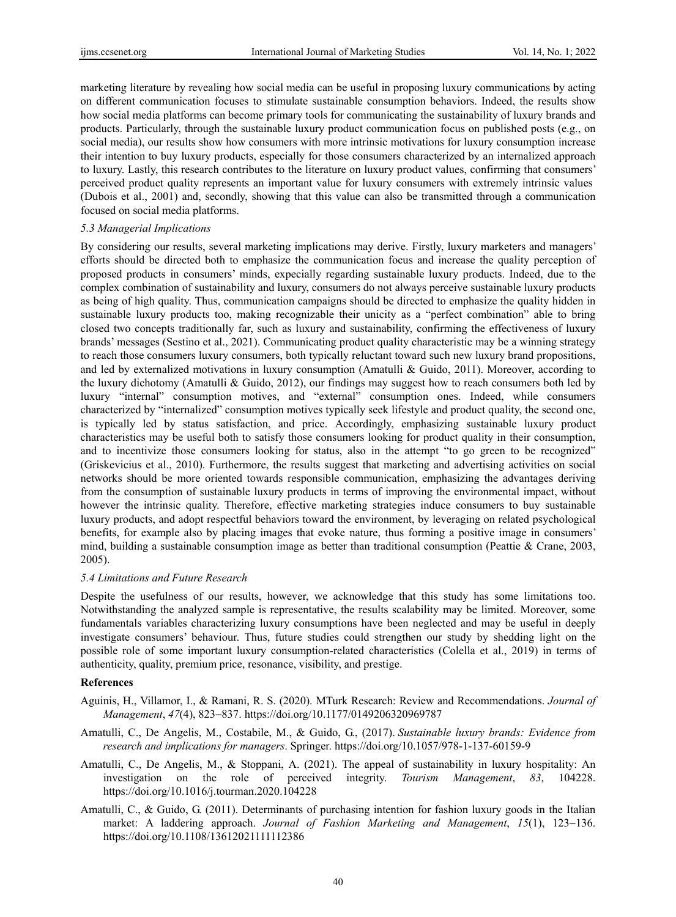marketing literature by revealing how social media can be useful in proposing luxury communications by acting on different communication focuses to stimulate sustainable consumption behaviors. Indeed, the results show how social media platforms can become primary tools for communicating the sustainability of luxury brands and products. Particularly, through the sustainable luxury product communication focus on published posts (e.g., on social media), our results show how consumers with more intrinsic motivations for luxury consumption increase their intention to buy luxury products, especially for those consumers characterized by an internalized approach to luxury. Lastly, this research contributes to the literature on luxury product values, confirming that consumers' perceived product quality represents an important value for luxury consumers with extremely intrinsic values (Dubois et al., 2001) and, secondly, showing that this value can also be transmitted through a communication focused on social media platforms.

## *5.3 Managerial Implications*

By considering our results, several marketing implications may derive. Firstly, luxury marketers and managers' efforts should be directed both to emphasize the communication focus and increase the quality perception of proposed products in consumers' minds, expecially regarding sustainable luxury products. Indeed, due to the complex combination of sustainability and luxury, consumers do not always perceive sustainable luxury products as being of high quality. Thus, communication campaigns should be directed to emphasize the quality hidden in sustainable luxury products too, making recognizable their unicity as a "perfect combination" able to bring closed two concepts traditionally far, such as luxury and sustainability, confirming the effectiveness of luxury brands' messages (Sestino et al., 2021). Communicating product quality characteristic may be a winning strategy to reach those consumers luxury consumers, both typically reluctant toward such new luxury brand propositions, and led by externalized motivations in luxury consumption (Amatulli & Guido, 2011). Moreover, according to the luxury dichotomy (Amatulli & Guido, 2012), our findings may suggest how to reach consumers both led by luxury "internal" consumption motives, and "external" consumption ones. Indeed, while consumers characterized by "internalized" consumption motives typically seek lifestyle and product quality, the second one, is typically led by status satisfaction, and price. Accordingly, emphasizing sustainable luxury product characteristics may be useful both to satisfy those consumers looking for product quality in their consumption, and to incentivize those consumers looking for status, also in the attempt "to go green to be recognized" (Griskevicius et al., 2010). Furthermore, the results suggest that marketing and advertising activities on social networks should be more oriented towards responsible communication, emphasizing the advantages deriving from the consumption of sustainable luxury products in terms of improving the environmental impact, without however the intrinsic quality. Therefore, effective marketing strategies induce consumers to buy sustainable luxury products, and adopt respectful behaviors toward the environment, by leveraging on related psychological benefits, for example also by placing images that evoke nature, thus forming a positive image in consumers' mind, building a sustainable consumption image as better than traditional consumption (Peattie & Crane, 2003, 2005).

#### *5.4 Limitations and Future Research*

Despite the usefulness of our results, however, we acknowledge that this study has some limitations too. Notwithstanding the analyzed sample is representative, the results scalability may be limited. Moreover, some fundamentals variables characterizing luxury consumptions have been neglected and may be useful in deeply investigate consumers' behaviour. Thus, future studies could strengthen our study by shedding light on the possible role of some important luxury consumption-related characteristics (Colella et al., 2019) in terms of authenticity, quality, premium price, resonance, visibility, and prestige.

# **References**

- Aguinis, H., Villamor, I., & Ramani, R. S. (2020). MTurk Research: Review and Recommendations. *Journal of Management*, *47*(4), 823−837. https://doi.org/10.1177/0149206320969787
- Amatulli, C., De Angelis, M., Costabile, M., & Guido, G., (2017). *Sustainable luxury brands: Evidence from research and implications for managers*. Springer. https://doi.org/10.1057/978-1-137-60159-9
- Amatulli, C., De Angelis, M., & Stoppani, A. (2021). The appeal of sustainability in luxury hospitality: An investigation on the role of perceived integrity. *Tourism Management*, *83*, 104228. https://doi.org/10.1016/j.tourman.2020.104228
- Amatulli, C., & Guido, G. (2011). Determinants of purchasing intention for fashion luxury goods in the Italian market: A laddering approach. *Journal of Fashion Marketing and Management*, *15*(1), 123−136. https://doi.org/10.1108/13612021111112386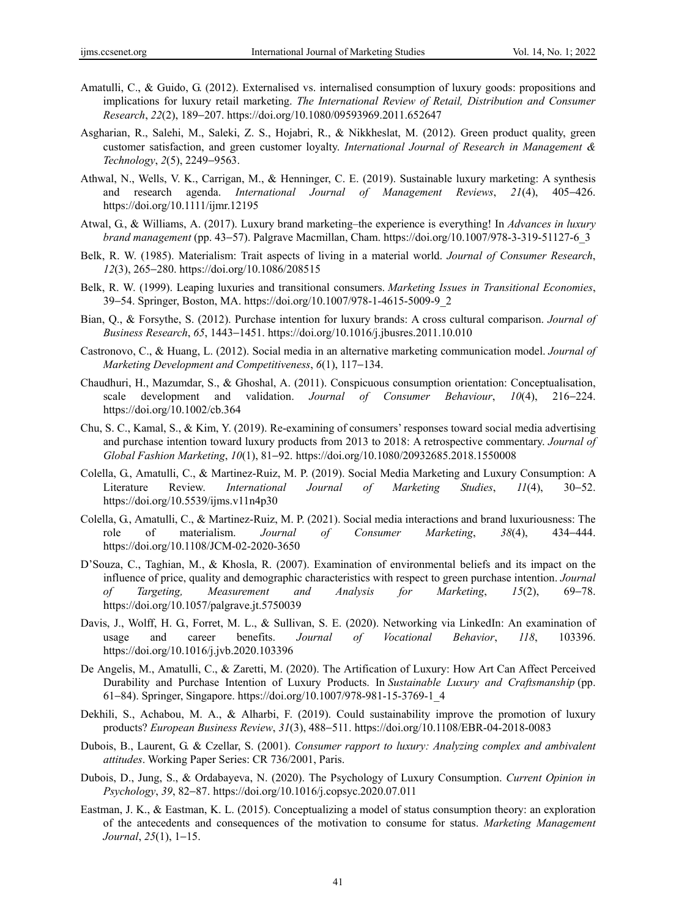- Amatulli, C., & Guido, G. (2012). Externalised vs. internalised consumption of luxury goods: propositions and implications for luxury retail marketing. *The International Review of Retail, Distribution and Consumer Research*, *22*(2), 189−207. https://doi.org/10.1080/09593969.2011.652647
- Asgharian, R., Salehi, M., Saleki, Z. S., Hojabri, R., & Nikkheslat, M. (2012). Green product quality, green customer satisfaction, and green customer loyalty. *International Journal of Research in Management & Technology*, *2*(5), 2249−9563.
- Athwal, N., Wells, V. K., Carrigan, M., & Henninger, C. E. (2019). Sustainable luxury marketing: A synthesis and research agenda. *International Journal of Management Reviews*, *21*(4), 405−426. https://doi.org/10.1111/ijmr.12195
- Atwal, G., & Williams, A. (2017). Luxury brand marketing–the experience is everything! In *Advances in luxury brand management* (pp. 43−57). Palgrave Macmillan, Cham. https://doi.org/10.1007/978-3-319-51127-6\_3
- Belk, R. W. (1985). Materialism: Trait aspects of living in a material world. *Journal of Consumer Research*, *12*(3), 265−280. https://doi.org/10.1086/208515
- Belk, R. W. (1999). Leaping luxuries and transitional consumers. *Marketing Issues in Transitional Economies*, 39−54. Springer, Boston, MA. https://doi.org/10.1007/978-1-4615-5009-9\_2
- Bian, Q., & Forsythe, S. (2012). Purchase intention for luxury brands: A cross cultural comparison. *Journal of Business Research*, *65*, 1443−1451. https://doi.org/10.1016/j.jbusres.2011.10.010
- Castronovo, C., & Huang, L. (2012). Social media in an alternative marketing communication model. *Journal of Marketing Development and Competitiveness*, *6*(1), 117−134.
- Chaudhuri, H., Mazumdar, S., & Ghoshal, A. (2011). Conspicuous consumption orientation: Conceptualisation, scale development and validation. *Journal of Consumer Behaviour*, *10*(4), 216−224. https://doi.org/10.1002/cb.364
- Chu, S. C., Kamal, S., & Kim, Y. (2019). Re-examining of consumers' responses toward social media advertising and purchase intention toward luxury products from 2013 to 2018: A retrospective commentary. *Journal of Global Fashion Marketing*, *10*(1), 81−92. https://doi.org/10.1080/20932685.2018.1550008
- Colella, G., Amatulli, C., & Martinez-Ruiz, M. P. (2019). Social Media Marketing and Luxury Consumption: A Literature Review. *International Journal of Marketing Studies*, *11*(4), 30−52. https://doi.org/10.5539/ijms.v11n4p30
- Colella, G., Amatulli, C., & Martinez-Ruiz, M. P. (2021). Social media interactions and brand luxuriousness: The role of materialism. *Journal of Consumer Marketing*, *38*(4), 434−444. https://doi.org/10.1108/JCM-02-2020-3650
- D'Souza, C., Taghian, M., & Khosla, R. (2007). Examination of environmental beliefs and its impact on the influence of price, quality and demographic characteristics with respect to green purchase intention. *Journal of Targeting, Measurement and Analysis for Marketing*, *15*(2), 69−78. https://doi.org/10.1057/palgrave.jt.5750039
- Davis, J., Wolff, H. G., Forret, M. L., & Sullivan, S. E. (2020). Networking via LinkedIn: An examination of usage and career benefits. *Journal of Vocational Behavior*, *118*, 103396. https://doi.org/10.1016/j.jvb.2020.103396
- De Angelis, M., Amatulli, C., & Zaretti, M. (2020). The Artification of Luxury: How Art Can Affect Perceived Durability and Purchase Intention of Luxury Products. In *Sustainable Luxury and Craftsmanship* (pp. 61−84). Springer, Singapore. https://doi.org/10.1007/978-981-15-3769-1\_4
- Dekhili, S., Achabou, M. A., & Alharbi, F. (2019). Could sustainability improve the promotion of luxury products? *European Business Review*, *31*(3), 488−511. https://doi.org/10.1108/EBR-04-2018-0083
- Dubois, B., Laurent, G. & Czellar, S. (2001). *Consumer rapport to luxury: Analyzing complex and ambivalent attitudes*. Working Paper Series: CR 736/2001, Paris.
- Dubois, D., Jung, S., & Ordabayeva, N. (2020). The Psychology of Luxury Consumption. *Current Opinion in Psychology*, *39*, 82−87. https://doi.org/10.1016/j.copsyc.2020.07.011
- Eastman, J. K., & Eastman, K. L. (2015). Conceptualizing a model of status consumption theory: an exploration of the antecedents and consequences of the motivation to consume for status. *Marketing Management Journal*, *25*(1), 1−15.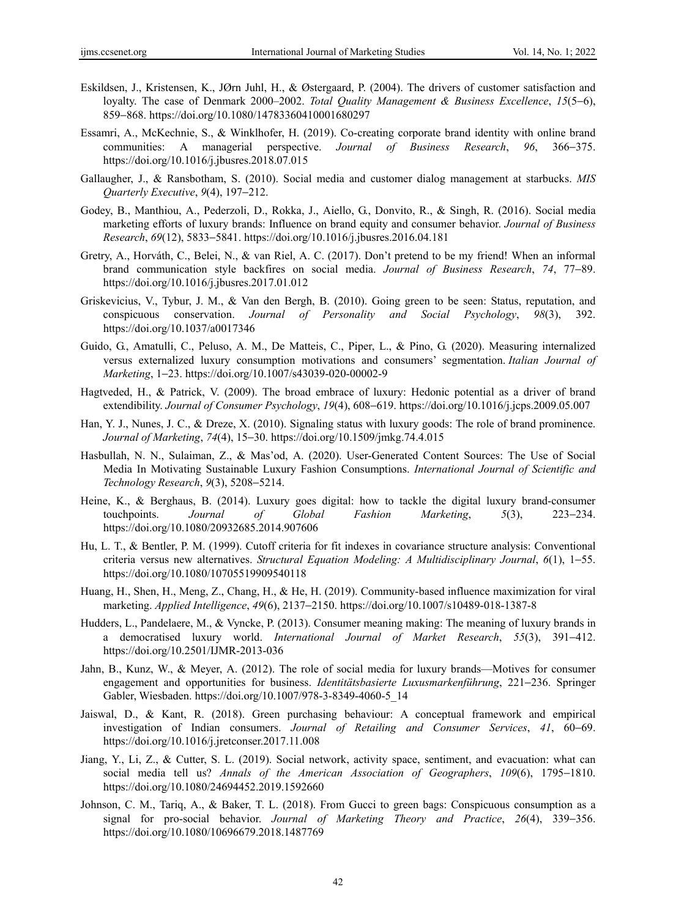- Eskildsen, J., Kristensen, K., JØrn Juhl, H., & Østergaard, P. (2004). The drivers of customer satisfaction and loyalty. The case of Denmark 2000–2002. *Total Quality Management & Business Excellence*, *15*(5−6), 859−868. https://doi.org/10.1080/14783360410001680297
- Essamri, A., McKechnie, S., & Winklhofer, H. (2019). Co-creating corporate brand identity with online brand communities: A managerial perspective. *Journal of Business Research*, *96*, 366−375. https://doi.org/10.1016/j.jbusres.2018.07.015
- Gallaugher, J., & Ransbotham, S. (2010). Social media and customer dialog management at starbucks. *MIS Quarterly Executive*, *9*(4), 197−212.
- Godey, B., Manthiou, A., Pederzoli, D., Rokka, J., Aiello, G., Donvito, R., & Singh, R. (2016). Social media marketing efforts of luxury brands: Influence on brand equity and consumer behavior. *Journal of Business Research*, *69*(12), 5833−5841. https://doi.org/10.1016/j.jbusres.2016.04.181
- Gretry, A., Horváth, C., Belei, N., & van Riel, A. C. (2017). Don't pretend to be my friend! When an informal brand communication style backfires on social media. *Journal of Business Research*, *74*, 77−89. https://doi.org/10.1016/j.jbusres.2017.01.012
- Griskevicius, V., Tybur, J. M., & Van den Bergh, B. (2010). Going green to be seen: Status, reputation, and conspicuous conservation. *Journal of Personality and Social Psychology*, *98*(3), 392. https://doi.org/10.1037/a0017346
- Guido, G., Amatulli, C., Peluso, A. M., De Matteis, C., Piper, L., & Pino, G. (2020). Measuring internalized versus externalized luxury consumption motivations and consumers' segmentation. *Italian Journal of Marketing*, 1−23. https://doi.org/10.1007/s43039-020-00002-9
- Hagtveded, H., & Patrick, V. (2009). The broad embrace of luxury: Hedonic potential as a driver of brand extendibility. *Journal of Consumer Psychology*, *19*(4), 608−619. https://doi.org/10.1016/j.jcps.2009.05.007
- Han, Y. J., Nunes, J. C., & Dreze, X. (2010). Signaling status with luxury goods: The role of brand prominence. *Journal of Marketing*, *74*(4), 15−30. https://doi.org/10.1509/jmkg.74.4.015
- Hasbullah, N. N., Sulaiman, Z., & Mas'od, A. (2020). User-Generated Content Sources: The Use of Social Media In Motivating Sustainable Luxury Fashion Consumptions. *International Journal of Scientific and Technology Research*, *9*(3), 5208−5214.
- Heine, K., & Berghaus, B. (2014). Luxury goes digital: how to tackle the digital luxury brand-consumer touchpoints. *Journal of Global Fashion Marketing*, *5*(3), 223−234. https://doi.org/10.1080/20932685.2014.907606
- Hu, L. T., & Bentler, P. M. (1999). Cutoff criteria for fit indexes in covariance structure analysis: Conventional criteria versus new alternatives. *Structural Equation Modeling: A Multidisciplinary Journal*, *6*(1), 1−55. https://doi.org/10.1080/10705519909540118
- Huang, H., Shen, H., Meng, Z., Chang, H., & He, H. (2019). Community-based influence maximization for viral marketing. *Applied Intelligence*, *49*(6), 2137−2150. https://doi.org/10.1007/s10489-018-1387-8
- Hudders, L., Pandelaere, M., & Vyncke, P. (2013). Consumer meaning making: The meaning of luxury brands in a democratised luxury world. *International Journal of Market Research*, *55*(3), 391−412. https://doi.org/10.2501/IJMR-2013-036
- Jahn, B., Kunz, W., & Meyer, A. (2012). The role of social media for luxury brands—Motives for consumer engagement and opportunities for business. *Identitätsbasierte Luxusmarkenführung*, 221−236. Springer Gabler, Wiesbaden. https://doi.org/10.1007/978-3-8349-4060-5\_14
- Jaiswal, D., & Kant, R. (2018). Green purchasing behaviour: A conceptual framework and empirical investigation of Indian consumers. *Journal of Retailing and Consumer Services*, *41*, 60−69. https://doi.org/10.1016/j.jretconser.2017.11.008
- Jiang, Y., Li, Z., & Cutter, S. L. (2019). Social network, activity space, sentiment, and evacuation: what can social media tell us? *Annals of the American Association of Geographers*, *109*(6), 1795−1810. https://doi.org/10.1080/24694452.2019.1592660
- Johnson, C. M., Tariq, A., & Baker, T. L. (2018). From Gucci to green bags: Conspicuous consumption as a signal for pro-social behavior. *Journal of Marketing Theory and Practice*, *26*(4), 339−356. https://doi.org/10.1080/10696679.2018.1487769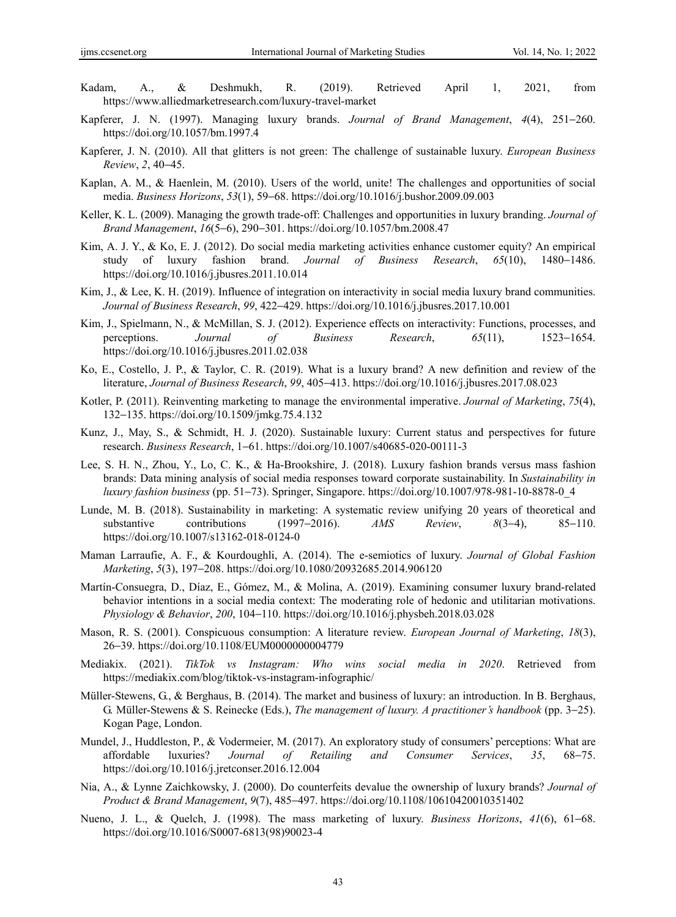- Kadam, A., & Deshmukh, R. (2019). Retrieved April 1, 2021, from https://www.alliedmarketresearch.com/luxury-travel-market
- Kapferer, J. N. (1997). Managing luxury brands. *Journal of Brand Management*, *4*(4), 251−260. https://doi.org/10.1057/bm.1997.4
- Kapferer, J. N. (2010). All that glitters is not green: The challenge of sustainable luxury. *European Business Review*, *2*, 40−45.
- Kaplan, A. M., & Haenlein, M. (2010). Users of the world, unite! The challenges and opportunities of social media. *Business Horizons*, *53*(1), 59−68. https://doi.org/10.1016/j.bushor.2009.09.003
- Keller, K. L. (2009). Managing the growth trade-off: Challenges and opportunities in luxury branding. *Journal of Brand Management*, *16*(5−6), 290−301. https://doi.org/10.1057/bm.2008.47
- Kim, A. J. Y., & Ko, E. J. (2012). Do social media marketing activities enhance customer equity? An empirical study of luxury fashion brand. *Journal of Business Research*, *65*(10), 1480−1486. https://doi.org/10.1016/j.jbusres.2011.10.014
- Kim, J., & Lee, K. H. (2019). Influence of integration on interactivity in social media luxury brand communities. *Journal of Business Research*, *99*, 422−429. https://doi.org/10.1016/j.jbusres.2017.10.001
- Kim, J., Spielmann, N., & McMillan, S. J. (2012). Experience effects on interactivity: Functions, processes, and perceptions. *Journal of Business Research*, *65*(11), 1523−1654. https://doi.org/10.1016/j.jbusres.2011.02.038
- Ko, E., Costello, J. P., & Taylor, C. R. (2019). What is a luxury brand? A new definition and review of the literature, *Journal of Business Research*, *99*, 405−413. https://doi.org/10.1016/j.jbusres.2017.08.023
- Kotler, P. (2011). Reinventing marketing to manage the environmental imperative. *Journal of Marketing*, *75*(4), 132−135. https://doi.org/10.1509/jmkg.75.4.132
- Kunz, J., May, S., & Schmidt, H. J. (2020). Sustainable luxury: Current status and perspectives for future research. *Business Research*, 1−61. https://doi.org/10.1007/s40685-020-00111-3
- Lee, S. H. N., Zhou, Y., Lo, C. K., & Ha-Brookshire, J. (2018). Luxury fashion brands versus mass fashion brands: Data mining analysis of social media responses toward corporate sustainability. In *Sustainability in luxury fashion business* (pp. 51−73). Springer, Singapore. https://doi.org/10.1007/978-981-10-8878-0\_4
- Lunde, M. B. (2018). Sustainability in marketing: A systematic review unifying 20 years of theoretical and substantive contributions (1997−2016). *AMS Review*, *8*(3−4), 85−110. https://doi.org/10.1007/s13162-018-0124-0
- Maman Larraufie, A. F., & Kourdoughli, A. (2014). The e-semiotics of luxury. *Journal of Global Fashion Marketing*, *5*(3), 197−208. https://doi.org/10.1080/20932685.2014.906120
- Martín-Consuegra, D., Díaz, E., Gómez, M., & Molina, A. (2019). Examining consumer luxury brand-related behavior intentions in a social media context: The moderating role of hedonic and utilitarian motivations. *Physiology & Behavior*, *200*, 104−110. https://doi.org/10.1016/j.physbeh.2018.03.028
- Mason, R. S. (2001). Conspicuous consumption: A literature review. *European Journal of Marketing*, *18*(3), 26−39. https://doi.org/10.1108/EUM0000000004779
- Mediakix. (2021). *TikTok vs Instagram: Who wins social media in 2020*. Retrieved from https://mediakix.com/blog/tiktok-vs-instagram-infographic/
- Müller-Stewens, G., & Berghaus, B. (2014). The market and business of luxury: an introduction. In B. Berghaus, G. Müller-Stewens & S. Reinecke (Eds.), *The management of luxury. A practitioner's handbook* (pp. 3−25). Kogan Page, London.
- Mundel, J., Huddleston, P., & Vodermeier, M. (2017). An exploratory study of consumers' perceptions: What are affordable luxuries? *Journal of Retailing and Consumer Services*, *35*, 68−75. https://doi.org/10.1016/j.jretconser.2016.12.004
- Nia, A., & Lynne Zaichkowsky, J. (2000). Do counterfeits devalue the ownership of luxury brands? *Journal of Product & Brand Management*, *9*(7), 485−497. https://doi.org/10.1108/10610420010351402
- Nueno, J. L., & Quelch, J. (1998). The mass marketing of luxury. *Business Horizons*, *41*(6), 61−68. https://doi.org/10.1016/S0007-6813(98)90023-4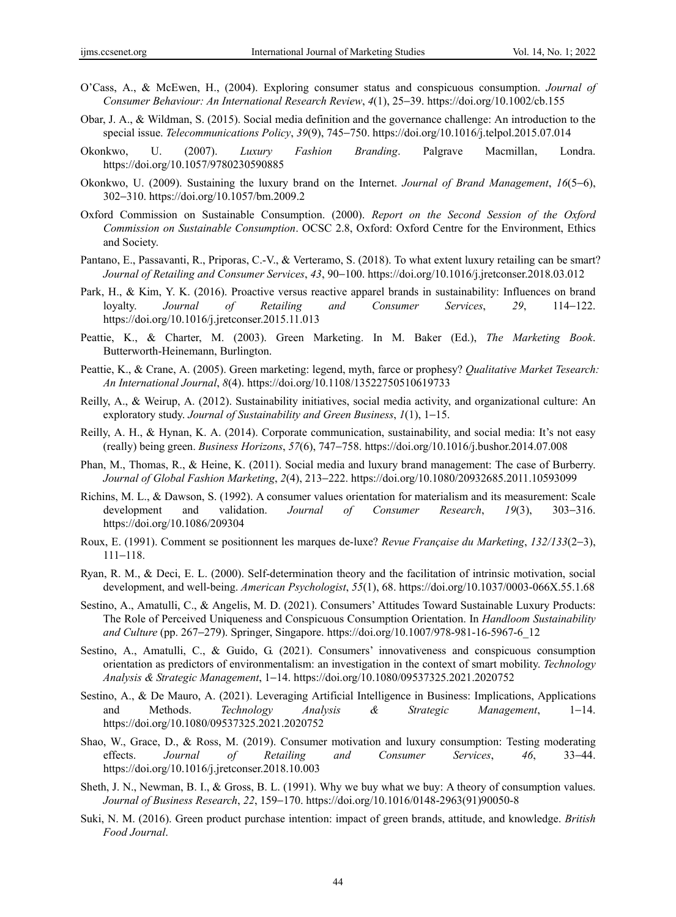- O'Cass, A., & McEwen, H., (2004). Exploring consumer status and conspicuous consumption. *Journal of Consumer Behaviour: An International Research Review*, *4*(1), 25−39. https://doi.org/10.1002/cb.155
- Obar, J. A., & Wildman, S. (2015). Social media definition and the governance challenge: An introduction to the special issue. *Telecommunications Policy*, *39*(9), 745−750. https://doi.org/10.1016/j.telpol.2015.07.014
- Okonkwo, U. (2007). *Luxury Fashion Branding*. Palgrave Macmillan, Londra. https://doi.org/10.1057/9780230590885
- Okonkwo, U. (2009). Sustaining the luxury brand on the Internet. *Journal of Brand Management*, *16*(5−6), 302−310. https://doi.org/10.1057/bm.2009.2
- Oxford Commission on Sustainable Consumption. (2000). *Report on the Second Session of the Oxford Commission on Sustainable Consumption*. OCSC 2.8, Oxford: Oxford Centre for the Environment, Ethics and Society.
- Pantano, E., Passavanti, R., Priporas, C.-V., & Verteramo, S. (2018). To what extent luxury retailing can be smart? *Journal of Retailing and Consumer Services*, *43*, 90−100. https://doi.org/10.1016/j.jretconser.2018.03.012
- Park, H., & Kim, Y. K. (2016). Proactive versus reactive apparel brands in sustainability: Influences on brand loyalty. *Journal of Retailing and Consumer Services*, *29*, 114−122. https://doi.org/10.1016/j.jretconser.2015.11.013
- Peattie, K., & Charter, M. (2003). Green Marketing. In M. Baker (Ed.), *The Marketing Book*. Butterworth-Heinemann, Burlington.
- Peattie, K., & Crane, A. (2005). Green marketing: legend, myth, farce or prophesy? *Qualitative Market Tesearch: An International Journal*, *8*(4). https://doi.org/10.1108/13522750510619733
- Reilly, A., & Weirup, A. (2012). Sustainability initiatives, social media activity, and organizational culture: An exploratory study. *Journal of Sustainability and Green Business*, *1*(1), 1−15.
- Reilly, A. H., & Hynan, K. A. (2014). Corporate communication, sustainability, and social media: It's not easy (really) being green. *Business Horizons*, *57*(6), 747−758. https://doi.org/10.1016/j.bushor.2014.07.008
- Phan, M., Thomas, R., & Heine, K. (2011). Social media and luxury brand management: The case of Burberry. *Journal of Global Fashion Marketing*, *2*(4), 213−222. https://doi.org/10.1080/20932685.2011.10593099
- Richins, M. L., & Dawson, S. (1992). A consumer values orientation for materialism and its measurement: Scale development and validation. *Journal of Consumer Research*, *19*(3), 303−316. https://doi.org/10.1086/209304
- Roux, E. (1991). Comment se positionnent les marques de-luxe? *Revue Française du Marketing*, *132/133*(2−3), 111−118.
- Ryan, R. M., & Deci, E. L. (2000). Self-determination theory and the facilitation of intrinsic motivation, social development, and well-being. *American Psychologist*, *55*(1), 68. https://doi.org/10.1037/0003-066X.55.1.68
- Sestino, A., Amatulli, C., & Angelis, M. D. (2021). Consumers' Attitudes Toward Sustainable Luxury Products: The Role of Perceived Uniqueness and Conspicuous Consumption Orientation. In *Handloom Sustainability and Culture* (pp. 267−279). Springer, Singapore. https://doi.org/10.1007/978-981-16-5967-6\_12
- Sestino, A., Amatulli, C., & Guido, G. (2021). Consumers' innovativeness and conspicuous consumption orientation as predictors of environmentalism: an investigation in the context of smart mobility. *Technology Analysis & Strategic Management*, 1−14. https://doi.org/10.1080/09537325.2021.2020752
- Sestino, A., & De Mauro, A. (2021). Leveraging Artificial Intelligence in Business: Implications, Applications and Methods. *Technology Analysis & Strategic Management*, 1−14. https://doi.org/10.1080/09537325.2021.2020752
- Shao, W., Grace, D., & Ross, M. (2019). Consumer motivation and luxury consumption: Testing moderating effects. *Journal of Retailing and Consumer Services*, *46*, 33−44. https://doi.org/10.1016/j.jretconser.2018.10.003
- Sheth, J. N., Newman, B. I., & Gross, B. L. (1991). Why we buy what we buy: A theory of consumption values. *Journal of Business Research*, *22*, 159−170. https://doi.org/10.1016/0148-2963(91)90050-8
- Suki, N. M. (2016). Green product purchase intention: impact of green brands, attitude, and knowledge. *British Food Journal*.